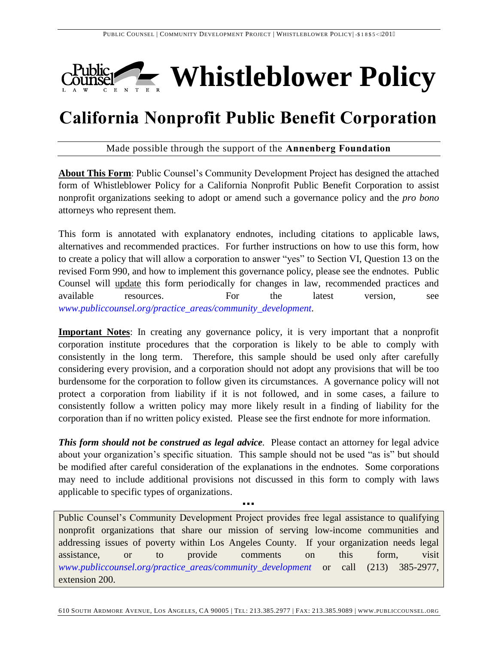

# **California Nonprofit Public Benefit Corporation**

Made possible through the support of the **Annenberg Foundation**

**About This Form**: Public Counsel's Community Development Project has designed the attached form of Whistleblower Policy for a California Nonprofit Public Benefit Corporation to assist nonprofit organizations seeking to adopt or amend such a governance policy and the *pro bono* attorneys who represent them.

This form is annotated with explanatory endnotes, including citations to applicable laws, alternatives and recommended practices. For further instructions on how to use this form, how to create a policy that will allow a corporation to answer "yes" to Section VI, Question 13 on the revised Form 990, and how to implement this governance policy, please see the endnotes. Public Counsel will update this form periodically for changes in law, recommended practices and available resources. For the latest version, see *[www.publiccounsel.org/practice\\_areas/community\\_development.](http://www.publiccounsel.org/practice_areas/community_development)*

**Important Notes**: In creating any governance policy, it is very important that a nonprofit corporation institute procedures that the corporation is likely to be able to comply with consistently in the long term. Therefore, this sample should be used only after carefully considering every provision, and a corporation should not adopt any provisions that will be too burdensome for the corporation to follow given its circumstances. A governance policy will not protect a corporation from liability if it is not followed, and in some cases, a failure to consistently follow a written policy may more likely result in a finding of liability for the corporation than if no written policy existed. Please see the first endnote for more information.

**This form should not be construed as legal advice.** Please contact an attorney for legal advice about your organization's specific situation. This sample should not be used "as is" but should be modified after careful consideration of the explanations in the endnotes. Some corporations may need to include additional provisions not discussed in this form to comply with laws applicable to specific types of organizations.

▪▪▪

Public Counsel's Community Development Project provides free legal assistance to qualifying nonprofit organizations that share our mission of serving low-income communities and addressing issues of poverty within Los Angeles County. If your organization needs legal assistance, or to provide comments on this form, visit *[www.publiccounsel.org/practice\\_areas/community\\_development](http://www.publiccounsel.org/practice_areas/community_development)* or call (213) 385-2977, extension 200.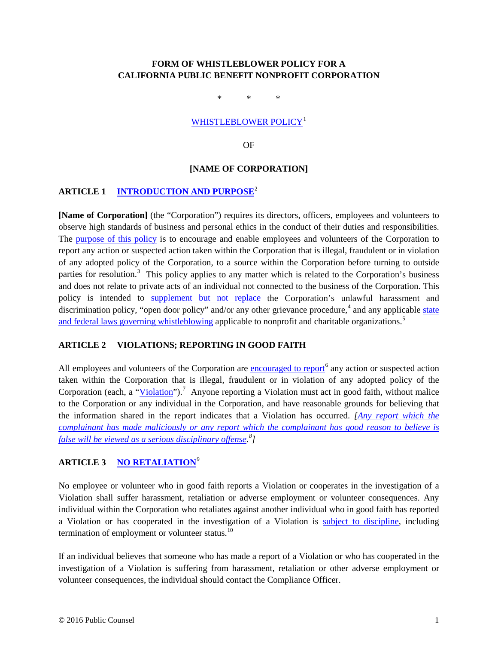# <span id="page-1-0"></span>**FORM OF WHISTLEBLOWER POLICY FOR A CALIFORNIA PUBLIC BENEFIT NONPROFIT CORPORATION**

\* \* \*

## [WHISTLEBLOWER POLICY](#page-3-0)<sup>[1](#page-4-2)</sup>

OF

#### **[NAME OF CORPORATION]**

## <span id="page-1-1"></span>**ARTICLE 1 [INTRODUCTION AND PURPOSE](#page-4-0)**[2](#page-4-3)

<span id="page-1-7"></span><span id="page-1-2"></span>**[Name of Corporation]** (the "Corporation") requires its directors, officers, employees and volunteers to observe high standards of business and personal ethics in the conduct of their duties and responsibilities. The [purpose of this policy](#page-4-1) is to encourage and enable employees and volunteers of the Corporation to report any action or suspected action taken within the Corporation that is illegal, fraudulent or in violation of any adopted policy of the Corporation, to a source within the Corporation before turning to outside parties for resolution.<sup>[3](#page-4-4)</sup> This policy applies to any matter which is related to the Corporation's business and does not relate to private acts of an individual not connected to the business of the Corporation. This policy is intended to [supplement but not replace](#page-5-0) the Corporation's unlawful harassment and discrimination policy, "open door policy" and/or any other grievance procedure,  $4$  and any applicable state [and federal laws governing whistleblowing](#page-5-1) applicable to nonprofit and charitable organizations.<sup>[5](#page-4-6)</sup>

# <span id="page-1-6"></span><span id="page-1-4"></span><span id="page-1-3"></span>**ARTICLE 2 VIOLATIONS; REPORTING IN GOOD FAITH**

<span id="page-1-9"></span><span id="page-1-8"></span>All employees and volunteers of the Corporation are [encouraged](#page-5-2) to report<sup>[6](#page-4-7)</sup> any action or suspected action taken within the Corporation that is illegal, fraudulent or in violation of any adopted policy of the Corporation (each, a ["Violation"](#page-5-3)).<sup>[7](#page-4-8)</sup> Anyone reporting a Violation must act in good faith, without malice to the Corporation or any individual in the Corporation, and have reasonable grounds for believing that the information shared in the report indicates that a Violation has occurred. *[Any [report which the](#page-5-4)  complainant [has made maliciously or any report which the complainant](#page-5-4) has good reason to believe is [false will be viewed as a serious disciplinary offense.](#page-5-4) [8](#page-4-9) ]*

# <span id="page-1-10"></span><span id="page-1-5"></span>**ARTICLE 3 [NO RETALIATION](#page-6-0)**[9](#page-4-10)

<span id="page-1-11"></span>No employee or volunteer who in good faith reports a Violation or cooperates in the investigation of a Violation shall suffer harassment, retaliation or adverse employment or volunteer consequences. Any individual within the Corporation who retaliates against another individual who in good faith has reported a Violation or has cooperated in the investigation of a Violation is [subject to discipline,](#page-7-0) including termination of employment or volunteer status.<sup>[10](#page-4-5)</sup>

If an individual believes that someone who has made a report of a Violation or who has cooperated in the investigation of a Violation is suffering from harassment, retaliation or other adverse employment or volunteer consequences, the individual should contact the Compliance Officer.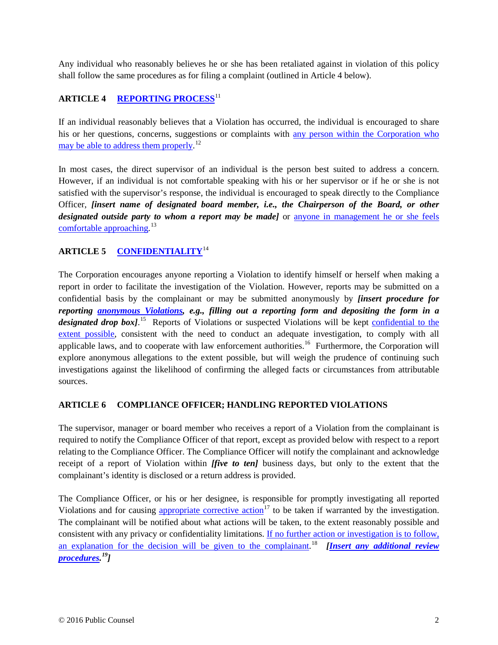<span id="page-2-0"></span>Any individual who reasonably believes he or she has been retaliated against in violation of this policy shall follow the same procedures as for filing a complaint (outlined in Article 4 below).

# **ARTICLE 4 [REPORTING PROCESS](#page-7-1)**[11](#page-5-5)

<span id="page-2-1"></span>If an individual reasonably believes that a Violation has occurred, the individual is encouraged to share his or her questions, concerns, suggestions or complaints with [any person within the Corporation](#page-7-2) who [may be able to address them properly.](#page-7-2)<sup>[12](#page-5-6)</sup>

<span id="page-2-2"></span>In most cases, the direct supervisor of an individual is the person best suited to address a concern. However, if an individual is not comfortable speaking with his or her supervisor or if he or she is not satisfied with the supervisor's response, the individual is encouraged to speak directly to the Compliance Officer, *[insert name of designated board member, i.e., the Chairperson of the Board, or other designated outside party to whom a report may be made]* or [anyone in management he or she](#page-7-3) feels [comfortable approaching.](#page-7-3)<sup>[13](#page-5-7)</sup>

# <span id="page-2-3"></span>**ARTICLE 5 [CONFIDENTIALITY](#page-7-4)**[14](#page-5-8)

<span id="page-2-5"></span><span id="page-2-4"></span>The Corporation encourages anyone reporting a Violation to identify himself or herself when making a report in order to facilitate the investigation of the Violation. However, reports may be submitted on a confidential basis by the complainant or may be submitted anonymously by *[insert procedure for reporting [anonymous Violations,](#page-7-5) e.g., filling out a reporting form and depositing the form in a*  designated drop box].<sup>15</sup> Reports of Violations or suspected Violations will be kept confidential to the [extent possible,](#page-7-6) consistent with the need to conduct an adequate investigation, to comply with all applicable laws, and to cooperate with law enforcement authorities.<sup>16</sup> Furthermore, the Corporation will explore anonymous allegations to the extent possible, but will weigh the prudence of continuing such investigations against the likelihood of confirming the alleged facts or circumstances from attributable sources.

# **ARTICLE 6 COMPLIANCE OFFICER; HANDLING REPORTED VIOLATIONS**

The supervisor, manager or board member who receives a report of a Violation from the complainant is required to notify the Compliance Officer of that report, except as provided below with respect to a report relating to the Compliance Officer. The Compliance Officer will notify the complainant and acknowledge receipt of a report of Violation within *[five to ten]* business days, but only to the extent that the complainant's identity is disclosed or a return address is provided.

<span id="page-2-8"></span><span id="page-2-7"></span><span id="page-2-6"></span>The Compliance Officer, or his or her designee, is responsible for promptly investigating all reported Violations and for causing [appropriate corrective action](#page-7-7)<sup>[17](#page-5-11)</sup> to be taken if warranted by the investigation. The complainant will be notified about what actions will be taken, to the extent reasonably possible and consistent with any privacy or confidentiality limitations. [If no further action or investigation is to follow,](#page-8-0)  [an explanation for the decision will be given to the complainant.](#page-8-0) [18](#page-5-12) *[\[Insert any additional review](#page-8-1)  [procedures.](#page-8-1) [19](#page-5-5)]*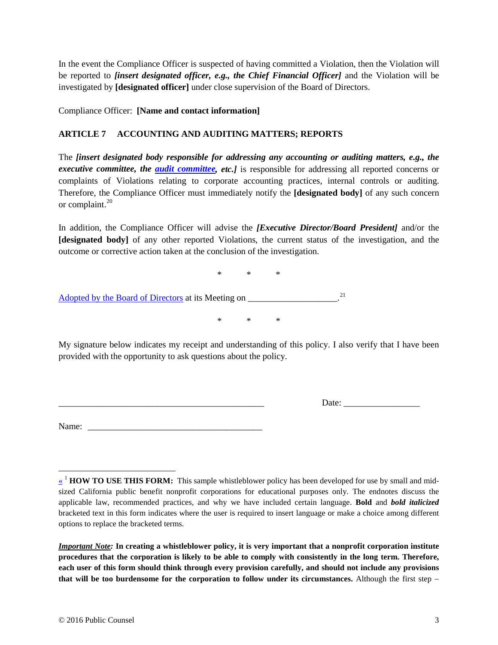In the event the Compliance Officer is suspected of having committed a Violation, then the Violation will be reported to *[insert designated officer, e.g., the Chief Financial Officer]* and the Violation will be investigated by **[designated officer]** under close supervision of the Board of Directors.

Compliance Officer: **[Name and contact information]**

# **ARTICLE 7 ACCOUNTING AND AUDITING MATTERS; REPORTS**

<span id="page-3-2"></span>The *[insert designated body responsible for addressing any accounting or auditing matters, e.g., the executive committee, the [audit committee,](#page-8-2) etc.]* is responsible for addressing all reported concerns or complaints of Violations relating to corporate accounting practices, internal controls or auditing. Therefore, the Compliance Officer must immediately notify the **[designated body]** of any such concern or complaint.<sup>[20](#page-6-1)</sup>

<span id="page-3-1"></span>In addition, the Compliance Officer will advise the *[Executive Director/Board President]* and/or the **[designated body]** of any other reported Violations, the current status of the investigation, and the outcome or corrective action taken at the conclusion of the investigation.

<span id="page-3-3"></span>\* \* \* [Adopted by the Board of Directors](#page-8-3) at its Meeting on \_\_\_\_\_\_\_\_\_\_\_\_\_\_\_\_\_\_\_\_\_.<sup>[21](#page-6-2)</sup>

My signature below indicates my receipt and understanding of this policy. I also verify that I have been provided with the opportunity to ask questions about the policy.

\* \* \*

\_\_\_\_\_\_\_\_\_\_\_\_\_\_\_\_\_\_\_\_\_\_\_\_\_\_\_\_\_\_\_\_\_\_\_\_\_\_\_\_\_\_\_\_\_\_ Date: \_\_\_\_\_\_\_\_\_\_\_\_\_\_\_\_\_

<span id="page-3-0"></span>Name: \_\_\_\_\_\_\_\_\_\_\_\_\_\_\_\_\_\_\_\_\_\_\_\_\_\_\_\_\_\_\_\_\_\_\_\_\_\_\_

*Important Note:* **In creating a whistleblower policy, it is very important that a nonprofit corporation institute procedures that the corporation is likely to be able to comply with consistently in the long term. Therefore, each user of this form should think through every provision carefully, and should not include any provisions that will be too burdensome for the corporation to follow under its circumstances.** Although the first step −

 $\overline{a}$ [«](#page-1-0) <sup>1</sup> **HOW TO USE THIS FORM:** This sample whistleblower policy has been developed for use by small and midsized California public benefit nonprofit corporations for educational purposes only. The endnotes discuss the applicable law, recommended practices, and why we have included certain language. **Bold** and *bold italicized*  bracketed text in this form indicates where the user is required to insert language or make a choice among different options to replace the bracketed terms.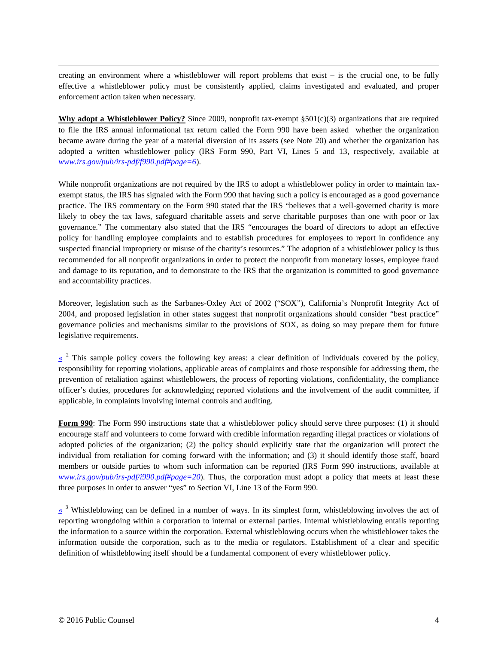<span id="page-4-10"></span>creating an environment where a whistleblower will report problems that exist − is the crucial one, to be fully effective a whistleblower policy must be consistently applied, claims investigated and evaluated, and proper enforcement action taken when necessary.

<span id="page-4-5"></span>**Why adopt a Whistleblower Policy?** Since 2009, nonprofit tax-exempt §501(c)(3) organizations that are required to file the IRS annual informational tax return called the Form 990 have been asked whether the organization became aware during the year of a material diversion of its assets (see Note [20\)](#page-3-1) and whether the organization has adopted a written whistleblower policy (IRS Form 990, Part VI, Lines 5 and 13, respectively, available at *[www.irs.gov/pub/irs-pdf/f990.pdf#page=6](http://www.irs.gov/pub/irs-pdf/f990.pdf#page=6)*).

<span id="page-4-7"></span><span id="page-4-6"></span>While nonprofit organizations are not required by the IRS to adopt a whistleblower policy in order to maintain taxexempt status, the IRS has signaled with the Form 990 that having such a policy is encouraged as a good governance practice. The IRS commentary on the Form 990 stated that the IRS "believes that a well-governed charity is more likely to obey the tax laws, safeguard charitable assets and serve charitable purposes than one with poor or lax governance." The commentary also stated that the IRS "encourages the board of directors to adopt an effective policy for handling employee complaints and to establish procedures for employees to report in confidence any suspected financial impropriety or misuse of the charity's resources." The adoption of a whistleblower policy is thus recommended for all nonprofit organizations in order to protect the nonprofit from monetary losses, employee fraud and damage to its reputation, and to demonstrate to the IRS that the organization is committed to good governance and accountability practices.

<span id="page-4-8"></span>Moreover, legislation such as the Sarbanes-Oxley Act of 2002 ("SOX"), California's Nonprofit Integrity Act of 2004, and proposed legislation in other states suggest that nonprofit organizations should consider "best practice" governance policies and mechanisms similar to the provisions of SOX, as doing so may prepare them for future legislative requirements.

<span id="page-4-3"></span><span id="page-4-0"></span> $\frac{\alpha}{\alpha}$ <sup>2</sup> This sample policy covers the following key areas: a clear definition of individuals covered by the policy, responsibility for reporting violations, applicable areas of complaints and those responsible for addressing them, the prevention of retaliation against whistleblowers, the process of reporting violations, confidentiality, the compliance officer's duties, procedures for acknowledging reported violations and the involvement of the audit committee, if applicable, in complaints involving internal controls and auditing.

**Form 990**: The Form 990 instructions state that a whistleblower policy should serve three purposes: (1) it should encourage staff and volunteers to come forward with credible information regarding illegal practices or violations of adopted policies of the organization; (2) the policy should explicitly state that the organization will protect the individual from retaliation for coming forward with the information; and (3) it should identify those staff, board members or outside parties to whom such information can be reported (IRS Form 990 instructions, available at *[www.irs.gov/pub/irs-pdf/i990.pdf#page=20](http://www.irs.gov/pub/irs-pdf/i990.pdf#page=20)*). Thus, the corporation must adopt a policy that meets at least these three purposes in order to answer "yes" to Section VI, Line 13 of the Form 990.

<span id="page-4-9"></span><span id="page-4-4"></span><span id="page-4-2"></span><span id="page-4-1"></span> $\frac{1}{2}$  Whistleblowing can be defined in a number of ways. In its simplest form, whistleblowing involves the act of reporting wrongdoing within a corporation to internal or external parties. Internal whistleblowing entails reporting the information to a source within the corporation. External whistleblowing occurs when the whistleblower takes the information outside the corporation, such as to the media or regulators. Establishment of a clear and specific definition of whistleblowing itself should be a fundamental component of every whistleblower policy.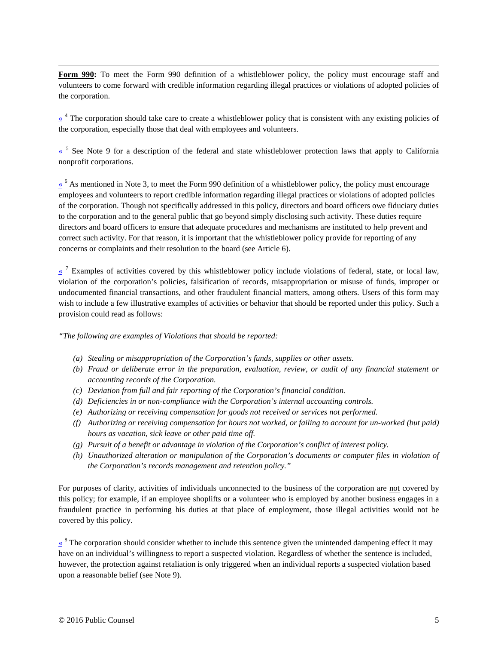<span id="page-5-0"></span>**Form 990:** To meet the Form 990 definition of a whistleblower policy, the policy must encourage staff and volunteers to come forward with credible information regarding illegal practices or violations of adopted policies of the corporation.

<span id="page-5-12"></span><span id="page-5-1"></span> $\frac{4}{x}$  The corporation should take care to create a whistleblower policy that is consistent with any existing policies of the corporation, especially those that deal with employees and volunteers.

<span id="page-5-5"></span><span id="page-5-2"></span>[«](#page-1-4) <sup>5</sup> See Note [9](#page-1-5) for a description of the federal and state whistleblower protection laws that apply to California nonprofit corporations.

 $\frac{\kappa}{\kappa}$ <sup>6</sup> As mentioned in Note [3,](#page-1-7) to meet the Form 990 definition of a whistleblower policy, the policy must encourage employees and volunteers to report credible information regarding illegal practices or violations of adopted policies of the corporation. Though not specifically addressed in this policy, directors and board officers owe fiduciary duties to the corporation and to the general public that go beyond simply disclosing such activity. These duties require directors and board officers to ensure that adequate procedures and mechanisms are instituted to help prevent and correct such activity. For that reason, it is important that the whistleblower policy provide for reporting of any concerns or complaints and their resolution to the board (see Article 6).

<span id="page-5-7"></span><span id="page-5-6"></span><span id="page-5-3"></span> $\alpha$ <sup>7</sup> Examples of activities covered by this whistleblower policy include violations of federal, state, or local law, violation of the corporation's policies, falsification of records, misappropriation or misuse of funds, improper or undocumented financial transactions, and other fraudulent financial matters, among others. Users of this form may wish to include a few illustrative examples of activities or behavior that should be reported under this policy. Such a provision could read as follows:

*"The following are examples of Violations that should be reported:*

- *(a) Stealing or misappropriation of the Corporation's funds, supplies or other assets.*
- *(b) Fraud or deliberate error in the preparation, evaluation, review, or audit of any financial statement or accounting records of the Corporation.*
- <span id="page-5-8"></span>*(c) Deviation from full and fair reporting of the Corporation's financial condition.*
- *(d) Deficiencies in or non-compliance with the Corporation's internal accounting controls.*
- *(e) Authorizing or receiving compensation for goods not received or services not performed.*
- *(f) Authorizing or receiving compensation for hours not worked, or failing to account for un-worked (but paid) hours as vacation, sick leave or other paid time off.*
- *(g) Pursuit of a benefit or advantage in violation of the Corporation's conflict of interest policy.*
- *(h) Unauthorized alteration or manipulation of the Corporation's documents or computer files in violation of the Corporation's records management and retention policy."*

<span id="page-5-10"></span><span id="page-5-9"></span>For purposes of clarity, activities of individuals unconnected to the business of the corporation are not covered by this policy; for example, if an employee shoplifts or a volunteer who is employed by another business engages in a fraudulent practice in performing his duties at that place of employment, those illegal activities would not be covered by this policy.

<span id="page-5-11"></span><span id="page-5-4"></span> $\frac{1}{2}$  <sup>8</sup> The corporation should consider whether to include this sentence given the unintended dampening effect it may have on an individual's willingness to report a suspected violation. Regardless of whether the sentence is included, however, the protection against retaliation is only triggered when an individual reports a suspected violation based upon a reasonable belief (see Note [9\)](#page-1-5).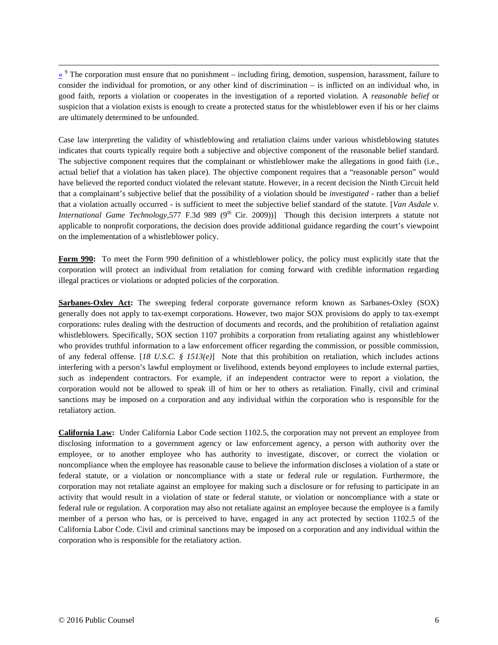<span id="page-6-2"></span><span id="page-6-0"></span> $\frac{\alpha}{\alpha}$ <sup>9</sup> The corporation must ensure that no punishment – including firing, demotion, suspension, harassment, failure to consider the individual for promotion, or any other kind of discrimination – is inflicted on an individual who, in good faith, reports a violation or cooperates in the investigation of a reported violation. A *reasonable belief* or suspicion that a violation exists is enough to create a protected status for the whistleblower even if his or her claims are ultimately determined to be unfounded.

Case law interpreting the validity of whistleblowing and retaliation claims under various whistleblowing statutes indicates that courts typically require both a subjective and objective component of the reasonable belief standard. The subjective component requires that the complainant or whistleblower make the allegations in good faith (i.e., actual belief that a violation has taken place). The objective component requires that a "reasonable person" would have believed the reported conduct violated the relevant statute. However, in a recent decision the Ninth Circuit held that a complainant's subjective belief that the possibility of a violation should be *investigated* - rather than a belief that a violation actually occurred - is sufficient to meet the subjective belief standard of the statute. [*Van Asdale v. International Game Technology,*577 F.3d 989 (9<sup>th</sup> Cir. 2009))] Though this decision interprets a statute not applicable to nonprofit corporations, the decision does provide additional guidance regarding the court's viewpoint on the implementation of a whistleblower policy.

**Form 990:** To meet the Form 990 definition of a whistleblower policy, the policy must explicitly state that the corporation will protect an individual from retaliation for coming forward with credible information regarding illegal practices or violations or adopted policies of the corporation.

<span id="page-6-1"></span>**Sarbanes-Oxley Act:** The sweeping federal corporate governance reform known as Sarbanes-Oxley (SOX) generally does not apply to tax-exempt corporations. However, two major SOX provisions do apply to tax-exempt corporations: rules dealing with the destruction of documents and records, and the prohibition of retaliation against whistleblowers. Specifically, SOX section 1107 prohibits a corporation from retaliating against any whistleblower who provides truthful information to a law enforcement officer regarding the commission, or possible commission, of any federal offense. [*18 U.S.C. § 1513(e)*] Note that this prohibition on retaliation, which includes actions interfering with a person's lawful employment or livelihood, extends beyond employees to include external parties, such as independent contractors. For example, if an independent contractor were to report a violation, the corporation would not be allowed to speak ill of him or her to others as retaliation. Finally, civil and criminal sanctions may be imposed on a corporation and any individual within the corporation who is responsible for the retaliatory action.

**California Law:** Under California Labor Code section 1102.5, the corporation may not prevent an employee from disclosing information to a government agency or law enforcement agency, a person with authority over the employee, or to another employee who has authority to investigate, discover, or correct the violation or noncompliance when the employee has reasonable cause to believe the information discloses a violation of a state or federal statute, or a violation or noncompliance with a state or federal rule or regulation. Furthermore, the corporation may not retaliate against an employee for making such a disclosure or for refusing to participate in an activity that would result in a violation of state or federal statute, or violation or noncompliance with a state or federal rule or regulation. A corporation may also not retaliate against an employee because the employee is a family member of a person who has, or is perceived to have, engaged in any act protected by section 1102.5 of the California Labor Code. Civil and criminal sanctions may be imposed on a corporation and any individual within the corporation who is responsible for the retaliatory action.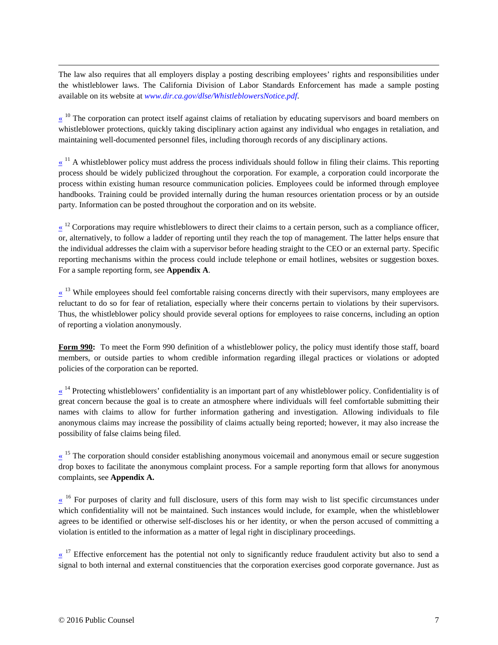The law also requires that all employers display a posting describing employees' rights and responsibilities under the whistleblower laws. The California Division of Labor Standards Enforcement has made a sample posting available on its website at *[www.dir.ca.gov/dlse/WhistleblowersNotice.pdf](http://www.dir.ca.gov/dlse/WhistleblowersNotice.pdf)*.

<span id="page-7-1"></span><span id="page-7-0"></span> $\ll$ <sup>10</sup> The corporation can protect itself against claims of retaliation by educating supervisors and board members on whistleblower protections, quickly taking disciplinary action against any individual who engages in retaliation, and maintaining well-documented personnel files, including thorough records of any disciplinary actions.

 $\frac{1}{x}$  A whistleblower policy must address the process individuals should follow in filing their claims. This reporting process should be widely publicized throughout the corporation. For example, a corporation could incorporate the process within existing human resource communication policies. Employees could be informed through employee handbooks. Training could be provided internally during the human resources orientation process or by an outside party. Information can be posted throughout the corporation and on its website.

<span id="page-7-2"></span> $\frac{\alpha}{\alpha}$ <sup>12</sup> Corporations may require whistleblowers to direct their claims to a certain person, such as a compliance officer, or, alternatively, to follow a ladder of reporting until they reach the top of management. The latter helps ensure that the individual addresses the claim with a supervisor before heading straight to the CEO or an external party. Specific reporting mechanisms within the process could include telephone or email hotlines, websites or suggestion boxes. For a sample reporting form, see **Appendix A**.

<span id="page-7-3"></span> $\frac{13}{13}$  While employees should feel comfortable raising concerns directly with their supervisors, many employees are reluctant to do so for fear of retaliation, especially where their concerns pertain to violations by their supervisors. Thus, the whistleblower policy should provide several options for employees to raise concerns, including an option of reporting a violation anonymously.

<span id="page-7-4"></span>**Form 990:** To meet the Form 990 definition of a whistleblower policy, the policy must identify those staff, board members, or outside parties to whom credible information regarding illegal practices or violations or adopted policies of the corporation can be reported.

 $\frac{1}{4}$  Protecting whistleblowers' confidentiality is an important part of any whistleblower policy. Confidentiality is of great concern because the goal is to create an atmosphere where individuals will feel comfortable submitting their names with claims to allow for further information gathering and investigation. Allowing individuals to file anonymous claims may increase the possibility of claims actually being reported; however, it may also increase the possibility of false claims being filed.

<span id="page-7-5"></span> $\frac{\alpha}{\alpha}$ <sup>15</sup> The corporation should consider establishing anonymous voicemail and anonymous email or secure suggestion drop boxes to facilitate the anonymous complaint process. For a sample reporting form that allows for anonymous complaints, see **Appendix A.**

<span id="page-7-6"></span> $\frac{16}{16}$  For purposes of clarity and full disclosure, users of this form may wish to list specific circumstances under which confidentiality will not be maintained. Such instances would include, for example, when the whistleblower agrees to be identified or otherwise self-discloses his or her identity, or when the person accused of committing a violation is entitled to the information as a matter of legal right in disciplinary proceedings.

<span id="page-7-7"></span> $\frac{17}{17}$  Effective enforcement has the potential not only to significantly reduce fraudulent activity but also to send a signal to both internal and external constituencies that the corporation exercises good corporate governance. Just as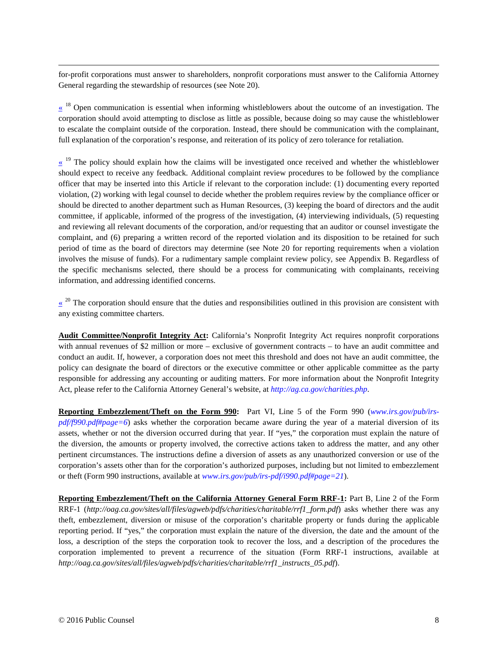<span id="page-8-0"></span>for-profit corporations must answer to shareholders, nonprofit corporations must answer to the California Attorney General regarding the stewardship of resources (see Not[e 20\)](#page-3-1).

 $\frac{\alpha}{n}$ <sup>18</sup> Open communication is essential when informing whistleblowers about the outcome of an investigation. The corporation should avoid attempting to disclose as little as possible, because doing so may cause the whistleblower to escalate the complaint outside of the corporation. Instead, there should be communication with the complainant, full explanation of the corporation's response, and reiteration of its policy of zero tolerance for retaliation.

<span id="page-8-1"></span> $\frac{19}{19}$  The policy should explain how the claims will be investigated once received and whether the whistleblower should expect to receive any feedback. Additional complaint review procedures to be followed by the compliance officer that may be inserted into this Article if relevant to the corporation include: (1) documenting every reported violation, (2) working with legal counsel to decide whether the problem requires review by the compliance officer or should be directed to another department such as Human Resources, (3) keeping the board of directors and the audit committee, if applicable, informed of the progress of the investigation, (4) interviewing individuals, (5) requesting and reviewing all relevant documents of the corporation, and/or requesting that an auditor or counsel investigate the complaint, and (6) preparing a written record of the reported violation and its disposition to be retained for such period of time as the board of directors may determine (see Note [20](#page-3-1) for reporting requirements when a violation involves the misuse of funds). For a rudimentary sample complaint review policy, see Appendix B. Regardless of the specific mechanisms selected, there should be a process for communicating with complainants, receiving information, and addressing identified concerns.

<span id="page-8-2"></span> $\frac{1}{x}$ <sup>20</sup> The corporation should ensure that the duties and responsibilities outlined in this provision are consistent with any existing committee charters.

**Audit Committee/Nonprofit Integrity Act:** California's Nonprofit Integrity Act requires nonprofit corporations with annual revenues of \$2 million or more – exclusive of government contracts – to have an audit committee and conduct an audit. If, however, a corporation does not meet this threshold and does not have an audit committee, the policy can designate the board of directors or the executive committee or other applicable committee as the party responsible for addressing any accounting or auditing matters. For more information about the Nonprofit Integrity Act, please refer to the California Attorney General's website, at *<http://ag.ca.gov/charities.php>*.

**Reporting Embezzlement/Theft on the Form 990:** Part VI, Line 5 of the Form 990 (*[www.irs.gov/pub/irs](http://www.irs.gov/pub/irs-pdf/f990.pdf#page=6)[pdf/f990.pdf#page=6](http://www.irs.gov/pub/irs-pdf/f990.pdf#page=6)*) asks whether the corporation became aware during the year of a material diversion of its assets, whether or not the diversion occurred during that year. If "yes," the corporation must explain the nature of the diversion, the amounts or property involved, the corrective actions taken to address the matter, and any other pertinent circumstances. The instructions define a diversion of assets as any unauthorized conversion or use of the corporation's assets other than for the corporation's authorized purposes, including but not limited to embezzlement or theft (Form 990 instructions, available at *[www.irs.gov/pub/irs-pdf/i990.pdf#page=21](http://www.irs.gov/pub/irs-pdf/i990.pdf#page=18)*).

<span id="page-8-3"></span>**Reporting Embezzlement/Theft on the California Attorney General Form RRF-1:** Part B, Line 2 of the Form RRF-1 (*http://oag.ca.gov/sites/all/files/agweb/pdfs/charities/charitable/rrf1\_form.pdf*) asks whether there was any theft, embezzlement, diversion or misuse of the corporation's charitable property or funds during the applicable reporting period. If "yes," the corporation must explain the nature of the diversion, the date and the amount of the loss, a description of the steps the corporation took to recover the loss, and a description of the procedures the corporation implemented to prevent a recurrence of the situation (Form RRF-1 instructions, available at *http://oag.ca.gov/sites/all/files/agweb/pdfs/charities/charitable/rrf1\_instructs\_05.pdf*).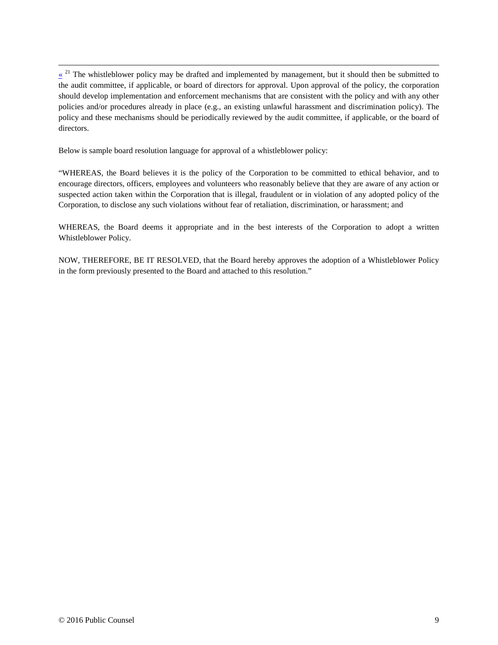$\overline{a}$  $\frac{\alpha}{\alpha}$ <sup>21</sup> The whistleblower policy may be drafted and implemented by management, but it should then be submitted to the audit committee, if applicable, or board of directors for approval. Upon approval of the policy, the corporation should develop implementation and enforcement mechanisms that are consistent with the policy and with any other policies and/or procedures already in place (e.g., an existing unlawful harassment and discrimination policy). The policy and these mechanisms should be periodically reviewed by the audit committee, if applicable, or the board of directors.

Below is sample board resolution language for approval of a whistleblower policy:

"WHEREAS, the Board believes it is the policy of the Corporation to be committed to ethical behavior, and to encourage directors, officers, employees and volunteers who reasonably believe that they are aware of any action or suspected action taken within the Corporation that is illegal, fraudulent or in violation of any adopted policy of the Corporation, to disclose any such violations without fear of retaliation, discrimination, or harassment; and

WHEREAS, the Board deems it appropriate and in the best interests of the Corporation to adopt a written Whistleblower Policy.

NOW, THEREFORE, BE IT RESOLVED, that the Board hereby approves the adoption of a Whistleblower Policy in the form previously presented to the Board and attached to this resolution."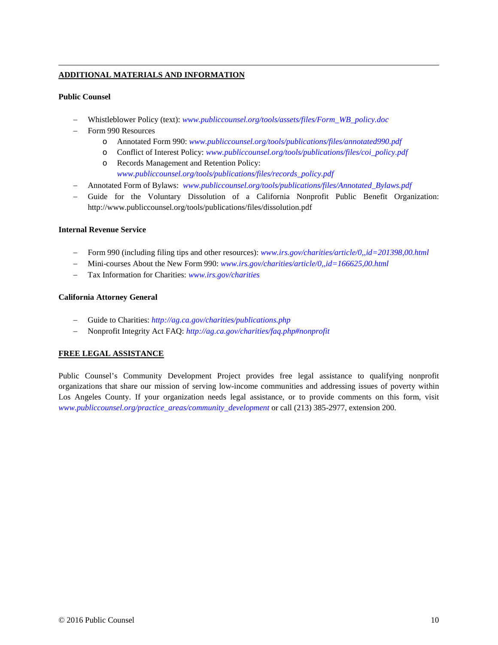#### **ADDITIONAL MATERIALS AND INFORMATION**

#### **Public Counsel**

 $\overline{a}$ 

- − Whistleblower Policy (text): *[www.publiccounsel.org/tools/assets/files/Form\\_WB\\_policy.doc](http://www.publiccounsel.org/tools/assets/files/Form_WB_policy.doc)*
- − Form 990 Resources
	- o Annotated Form 990: *[www.publiccounsel.org/tools/publications/files/annotated990.pdf](http://www.publiccounsel.org/tools/publications/files/annotated990.pdf)*
	- o Conflict of Interest Policy: *[www.publiccounsel.org/tools/publications/files/coi\\_policy.pdf](http://www.publiccounsel.org/tools/publications/files/coi_policy.pdf)*
	- o Records Management and Retention Policy: *[www.publiccounsel.org/tools/publications/files/records\\_policy.pdf](http://www.publiccounsel.org/tools/publications/files/records_policy.pdf)*
- − Annotated Form of Bylaws: *[www.publiccounsel.org/tools/publications/files/Annotated\\_Bylaws.pdf](http://www.publiccounsel.org/tools/publications/files/Annotated_Bylaws.pdf)*
- − Guide for the Voluntary Dissolution of a California Nonprofit Public Benefit Organization: http://www.publiccounsel.org/tools/publications/files/dissolution.pdf

#### **Internal Revenue Service**

- − Form 990 (including filing tips and other resources): *[www.irs.gov/charities/article/0,,id=201398,00.html](http://www.irs.gov/charities/article/0,,id=201398,00.html)*
- − Mini-courses About the New Form 990: *[www.irs.gov/charities/article/0,,id=166625,00.html](http://www.irs.gov/charities/article/0,,id=166625,00.html)*
- − Tax Information for Charities: *[www.irs.gov/charities](http://www.irs.gov/charities)*

#### **California Attorney General**

- − Guide to Charities: *<http://ag.ca.gov/charities/publications.php>*
- − Nonprofit Integrity Act FAQ: *<http://ag.ca.gov/charities/faq.php#nonprofit>*

#### **FREE LEGAL ASSISTANCE**

Public Counsel's Community Development Project provides free legal assistance to qualifying nonprofit organizations that share our mission of serving low-income communities and addressing issues of poverty within Los Angeles County. If your organization needs legal assistance, or to provide comments on this form, visit *[www.publiccounsel.org/practice\\_areas/community\\_development](http://www.publiccounsel.org/practice_areas/community_development)* or call (213) 385-2977, extension 200.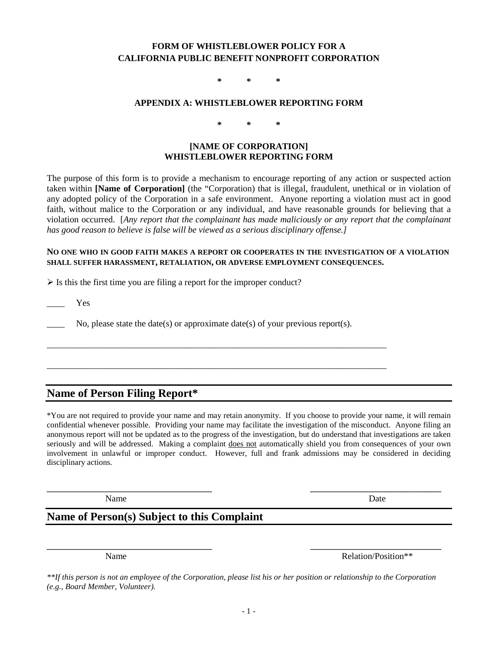## **FORM OF WHISTLEBLOWER POLICY FOR A CALIFORNIA PUBLIC BENEFIT NONPROFIT CORPORATION**

**\* \* \***

#### **APPENDIX A: WHISTLEBLOWER REPORTING FORM**

**\* \* \***

#### **[NAME OF CORPORATION] WHISTLEBLOWER REPORTING FORM**

The purpose of this form is to provide a mechanism to encourage reporting of any action or suspected action taken within **[Name of Corporation]** (the "Corporation) that is illegal, fraudulent, unethical or in violation of any adopted policy of the Corporation in a safe environment. Anyone reporting a violation must act in good faith, without malice to the Corporation or any individual, and have reasonable grounds for believing that a violation occurred. [*Any report that the complainant has made maliciously or any report that the complainant has good reason to believe is false will be viewed as a serious disciplinary offense.]*

#### **NO ONE WHO IN GOOD FAITH MAKES A REPORT OR COOPERATES IN THE INVESTIGATION OF A VIOLATION SHALL SUFFER HARASSMENT, RETALIATION, OR ADVERSE EMPLOYMENT CONSEQUENCES.**

 $\triangleright$  Is this the first time you are filing a report for the improper conduct?

\_\_\_\_ Yes

No, please state the date(s) or approximate date(s) of your previous report(s).

\_\_\_\_\_\_\_\_\_\_\_\_\_\_\_\_\_\_\_\_\_\_\_\_\_\_\_\_\_\_\_\_\_\_\_\_\_\_\_\_\_\_\_\_\_\_\_\_\_\_\_\_\_\_\_\_\_\_\_\_\_\_\_\_\_\_\_\_\_\_\_\_\_\_\_\_

\_\_\_\_\_\_\_\_\_\_\_\_\_\_\_\_\_\_\_\_\_\_\_\_\_\_\_\_\_\_\_\_\_\_\_\_\_\_\_\_\_\_\_\_\_\_\_\_\_\_\_\_\_\_\_\_\_\_\_\_\_\_\_\_\_\_\_\_\_\_\_\_\_\_\_\_

# **Name of Person Filing Report\***

\*You are not required to provide your name and may retain anonymity. If you choose to provide your name, it will remain confidential whenever possible. Providing your name may facilitate the investigation of the misconduct. Anyone filing an anonymous report will not be updated as to the progress of the investigation, but do understand that investigations are taken seriously and will be addressed. Making a complaint does not automatically shield you from consequences of your own involvement in unlawful or improper conduct. However, full and frank admissions may be considered in deciding disciplinary actions.

\_\_\_\_\_\_\_\_\_\_\_\_\_\_\_\_\_\_\_\_\_\_\_\_\_\_\_\_\_ \_\_\_\_\_\_\_\_\_\_\_\_\_\_\_\_\_\_\_\_\_\_\_

Name Date

# **Name of Person(s) Subject to this Complaint**

Name Relation/Position\*\*

*\*\*If this person is not an employee of the Corporation, please list his or her position or relationship to the Corporation (e.g., Board Member, Volunteer).*

\_\_\_\_\_\_\_\_\_\_\_\_\_\_\_\_\_\_\_\_\_\_\_\_\_\_\_\_\_ \_\_\_\_\_\_\_\_\_\_\_\_\_\_\_\_\_\_\_\_\_\_\_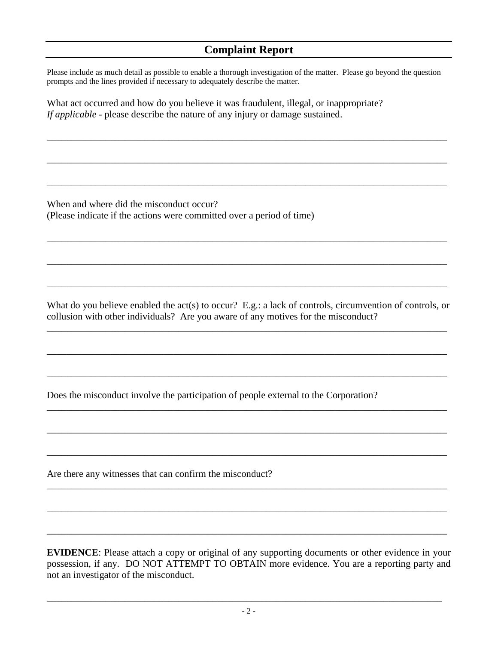# **Complaint Report**

Please include as much detail as possible to enable a thorough investigation of the matter. Please go beyond the question prompts and the lines provided if necessary to adequately describe the matter.

\_\_\_\_\_\_\_\_\_\_\_\_\_\_\_\_\_\_\_\_\_\_\_\_\_\_\_\_\_\_\_\_\_\_\_\_\_\_\_\_\_\_\_\_\_\_\_\_\_\_\_\_\_\_\_\_\_\_\_\_\_\_\_\_\_\_\_\_\_\_\_\_\_\_\_\_\_\_\_\_\_\_

\_\_\_\_\_\_\_\_\_\_\_\_\_\_\_\_\_\_\_\_\_\_\_\_\_\_\_\_\_\_\_\_\_\_\_\_\_\_\_\_\_\_\_\_\_\_\_\_\_\_\_\_\_\_\_\_\_\_\_\_\_\_\_\_\_\_\_\_\_\_\_\_\_\_\_\_\_\_\_\_\_\_

\_\_\_\_\_\_\_\_\_\_\_\_\_\_\_\_\_\_\_\_\_\_\_\_\_\_\_\_\_\_\_\_\_\_\_\_\_\_\_\_\_\_\_\_\_\_\_\_\_\_\_\_\_\_\_\_\_\_\_\_\_\_\_\_\_\_\_\_\_\_\_\_\_\_\_\_\_\_\_\_\_\_

\_\_\_\_\_\_\_\_\_\_\_\_\_\_\_\_\_\_\_\_\_\_\_\_\_\_\_\_\_\_\_\_\_\_\_\_\_\_\_\_\_\_\_\_\_\_\_\_\_\_\_\_\_\_\_\_\_\_\_\_\_\_\_\_\_\_\_\_\_\_\_\_\_\_\_\_\_\_\_\_\_\_

\_\_\_\_\_\_\_\_\_\_\_\_\_\_\_\_\_\_\_\_\_\_\_\_\_\_\_\_\_\_\_\_\_\_\_\_\_\_\_\_\_\_\_\_\_\_\_\_\_\_\_\_\_\_\_\_\_\_\_\_\_\_\_\_\_\_\_\_\_\_\_\_\_\_\_\_\_\_\_\_\_\_

\_\_\_\_\_\_\_\_\_\_\_\_\_\_\_\_\_\_\_\_\_\_\_\_\_\_\_\_\_\_\_\_\_\_\_\_\_\_\_\_\_\_\_\_\_\_\_\_\_\_\_\_\_\_\_\_\_\_\_\_\_\_\_\_\_\_\_\_\_\_\_\_\_\_\_\_\_\_\_\_\_\_

What act occurred and how do you believe it was fraudulent, illegal, or inappropriate? *If applicable* - please describe the nature of any injury or damage sustained.

When and where did the misconduct occur? (Please indicate if the actions were committed over a period of time)

What do you believe enabled the act(s) to occur? E.g.: a lack of controls, circumvention of controls, or collusion with other individuals? Are you aware of any motives for the misconduct?

\_\_\_\_\_\_\_\_\_\_\_\_\_\_\_\_\_\_\_\_\_\_\_\_\_\_\_\_\_\_\_\_\_\_\_\_\_\_\_\_\_\_\_\_\_\_\_\_\_\_\_\_\_\_\_\_\_\_\_\_\_\_\_\_\_\_\_\_\_\_\_\_\_\_\_\_\_\_\_\_\_\_

\_\_\_\_\_\_\_\_\_\_\_\_\_\_\_\_\_\_\_\_\_\_\_\_\_\_\_\_\_\_\_\_\_\_\_\_\_\_\_\_\_\_\_\_\_\_\_\_\_\_\_\_\_\_\_\_\_\_\_\_\_\_\_\_\_\_\_\_\_\_\_\_\_\_\_\_\_\_\_\_\_\_

\_\_\_\_\_\_\_\_\_\_\_\_\_\_\_\_\_\_\_\_\_\_\_\_\_\_\_\_\_\_\_\_\_\_\_\_\_\_\_\_\_\_\_\_\_\_\_\_\_\_\_\_\_\_\_\_\_\_\_\_\_\_\_\_\_\_\_\_\_\_\_\_\_\_\_\_\_\_\_\_\_\_

\_\_\_\_\_\_\_\_\_\_\_\_\_\_\_\_\_\_\_\_\_\_\_\_\_\_\_\_\_\_\_\_\_\_\_\_\_\_\_\_\_\_\_\_\_\_\_\_\_\_\_\_\_\_\_\_\_\_\_\_\_\_\_\_\_\_\_\_\_\_\_\_\_\_\_\_\_\_\_\_\_\_

\_\_\_\_\_\_\_\_\_\_\_\_\_\_\_\_\_\_\_\_\_\_\_\_\_\_\_\_\_\_\_\_\_\_\_\_\_\_\_\_\_\_\_\_\_\_\_\_\_\_\_\_\_\_\_\_\_\_\_\_\_\_\_\_\_\_\_\_\_\_\_\_\_\_\_\_\_\_\_\_\_\_

\_\_\_\_\_\_\_\_\_\_\_\_\_\_\_\_\_\_\_\_\_\_\_\_\_\_\_\_\_\_\_\_\_\_\_\_\_\_\_\_\_\_\_\_\_\_\_\_\_\_\_\_\_\_\_\_\_\_\_\_\_\_\_\_\_\_\_\_\_\_\_\_\_\_\_\_\_\_\_\_\_\_

\_\_\_\_\_\_\_\_\_\_\_\_\_\_\_\_\_\_\_\_\_\_\_\_\_\_\_\_\_\_\_\_\_\_\_\_\_\_\_\_\_\_\_\_\_\_\_\_\_\_\_\_\_\_\_\_\_\_\_\_\_\_\_\_\_\_\_\_\_\_\_\_\_\_\_\_\_\_\_\_\_\_

\_\_\_\_\_\_\_\_\_\_\_\_\_\_\_\_\_\_\_\_\_\_\_\_\_\_\_\_\_\_\_\_\_\_\_\_\_\_\_\_\_\_\_\_\_\_\_\_\_\_\_\_\_\_\_\_\_\_\_\_\_\_\_\_\_\_\_\_\_\_\_\_\_\_\_\_\_\_\_\_\_\_

\_\_\_\_\_\_\_\_\_\_\_\_\_\_\_\_\_\_\_\_\_\_\_\_\_\_\_\_\_\_\_\_\_\_\_\_\_\_\_\_\_\_\_\_\_\_\_\_\_\_\_\_\_\_\_\_\_\_\_\_\_\_\_\_\_\_\_\_\_\_\_\_\_\_\_\_\_\_\_\_\_\_

Does the misconduct involve the participation of people external to the Corporation?

Are there any witnesses that can confirm the misconduct?

**EVIDENCE**: Please attach a copy or original of any supporting documents or other evidence in your possession, if any. DO NOT ATTEMPT TO OBTAIN more evidence. You are a reporting party and not an investigator of the misconduct.

\_\_\_\_\_\_\_\_\_\_\_\_\_\_\_\_\_\_\_\_\_\_\_\_\_\_\_\_\_\_\_\_\_\_\_\_\_\_\_\_\_\_\_\_\_\_\_\_\_\_\_\_\_\_\_\_\_\_\_\_\_\_\_\_\_\_\_\_\_\_\_\_\_\_\_\_\_\_\_\_\_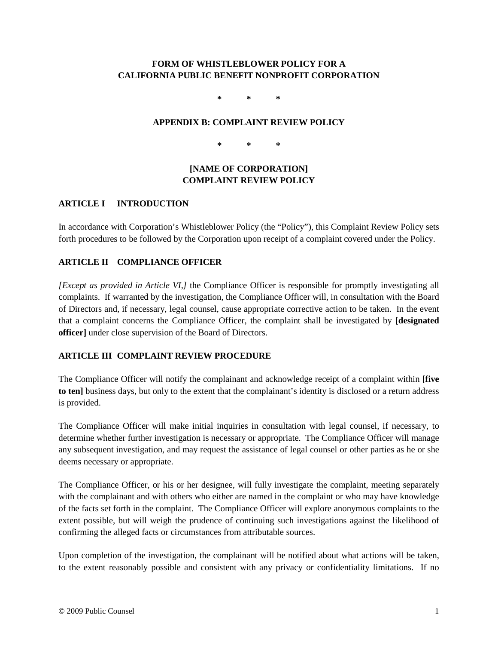# **FORM OF WHISTLEBLOWER POLICY FOR A CALIFORNIA PUBLIC BENEFIT NONPROFIT CORPORATION**

**\* \* \***

### **APPENDIX B: COMPLAINT REVIEW POLICY**

**\* \* \***

# **[NAME OF CORPORATION] COMPLAINT REVIEW POLICY**

## **ARTICLE I INTRODUCTION**

In accordance with Corporation's Whistleblower Policy (the "Policy"), this Complaint Review Policy sets forth procedures to be followed by the Corporation upon receipt of a complaint covered under the Policy.

# **ARTICLE II COMPLIANCE OFFICER**

*[Except as provided in Article VI,]* the Compliance Officer is responsible for promptly investigating all complaints. If warranted by the investigation, the Compliance Officer will, in consultation with the Board of Directors and, if necessary, legal counsel, cause appropriate corrective action to be taken. In the event that a complaint concerns the Compliance Officer, the complaint shall be investigated by **[designated officer]** under close supervision of the Board of Directors.

# **ARTICLE III COMPLAINT REVIEW PROCEDURE**

The Compliance Officer will notify the complainant and acknowledge receipt of a complaint within **[five to ten]** business days, but only to the extent that the complainant's identity is disclosed or a return address is provided.

The Compliance Officer will make initial inquiries in consultation with legal counsel, if necessary, to determine whether further investigation is necessary or appropriate. The Compliance Officer will manage any subsequent investigation, and may request the assistance of legal counsel or other parties as he or she deems necessary or appropriate.

The Compliance Officer, or his or her designee, will fully investigate the complaint, meeting separately with the complainant and with others who either are named in the complaint or who may have knowledge of the facts set forth in the complaint. The Compliance Officer will explore anonymous complaints to the extent possible, but will weigh the prudence of continuing such investigations against the likelihood of confirming the alleged facts or circumstances from attributable sources.

Upon completion of the investigation, the complainant will be notified about what actions will be taken, to the extent reasonably possible and consistent with any privacy or confidentiality limitations. If no